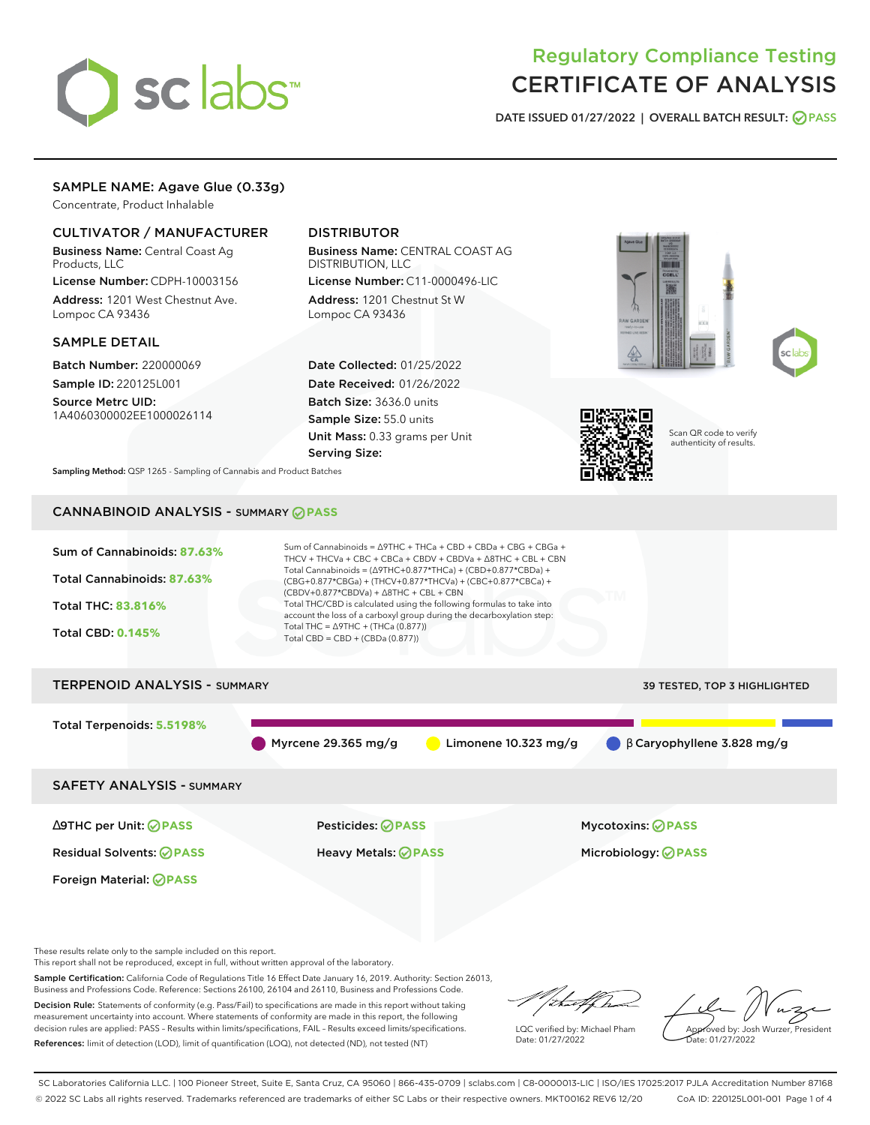# sclabs

# Regulatory Compliance Testing CERTIFICATE OF ANALYSIS

**DATE ISSUED 01/27/2022 | OVERALL BATCH RESULT: PASS**

# SAMPLE NAME: Agave Glue (0.33g)

Concentrate, Product Inhalable

# CULTIVATOR / MANUFACTURER

Business Name: Central Coast Ag Products, LLC

License Number: CDPH-10003156 Address: 1201 West Chestnut Ave. Lompoc CA 93436

# SAMPLE DETAIL

Batch Number: 220000069 Sample ID: 220125L001

Source Metrc UID: 1A4060300002EE1000026114

# DISTRIBUTOR

Business Name: CENTRAL COAST AG DISTRIBUTION, LLC License Number: C11-0000496-LIC

Address: 1201 Chestnut St W Lompoc CA 93436

Date Collected: 01/25/2022 Date Received: 01/26/2022 Batch Size: 3636.0 units Sample Size: 55.0 units Unit Mass: 0.33 grams per Unit Serving Size:







Scan QR code to verify authenticity of results.

**Sampling Method:** QSP 1265 - Sampling of Cannabis and Product Batches

# CANNABINOID ANALYSIS - SUMMARY **PASS**



These results relate only to the sample included on this report.

This report shall not be reproduced, except in full, without written approval of the laboratory.

Sample Certification: California Code of Regulations Title 16 Effect Date January 16, 2019. Authority: Section 26013, Business and Professions Code. Reference: Sections 26100, 26104 and 26110, Business and Professions Code.

Decision Rule: Statements of conformity (e.g. Pass/Fail) to specifications are made in this report without taking measurement uncertainty into account. Where statements of conformity are made in this report, the following decision rules are applied: PASS – Results within limits/specifications, FAIL – Results exceed limits/specifications. References: limit of detection (LOD), limit of quantification (LOQ), not detected (ND), not tested (NT)

'<del>hu</del>t br

LQC verified by: Michael Pham Date: 01/27/2022

Approved by: Josh Wurzer, President ate: 01/27/2022

SC Laboratories California LLC. | 100 Pioneer Street, Suite E, Santa Cruz, CA 95060 | 866-435-0709 | sclabs.com | C8-0000013-LIC | ISO/IES 17025:2017 PJLA Accreditation Number 87168 © 2022 SC Labs all rights reserved. Trademarks referenced are trademarks of either SC Labs or their respective owners. MKT00162 REV6 12/20 CoA ID: 220125L001-001 Page 1 of 4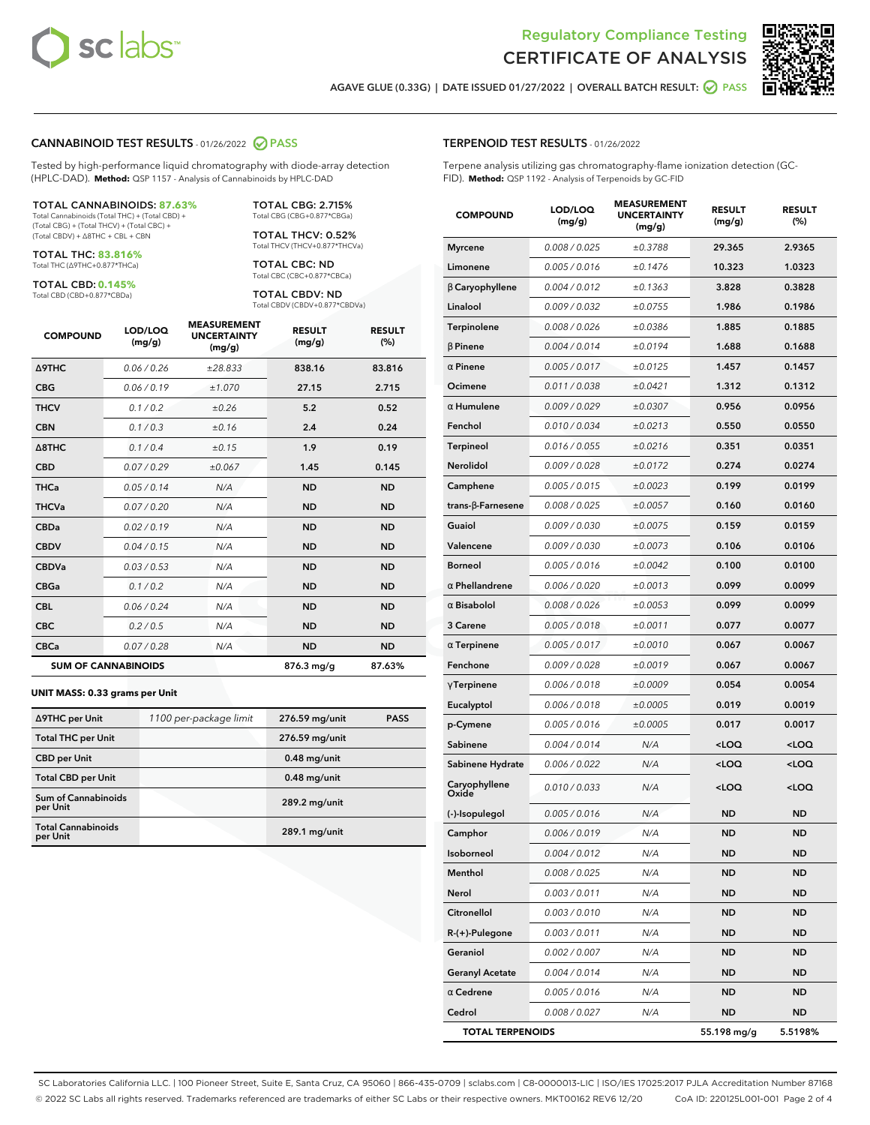



**AGAVE GLUE (0.33G) | DATE ISSUED 01/27/2022 | OVERALL BATCH RESULT: PASS**

#### **CANNABINOID TEST RESULTS** - 01/26/2022 **PASS**

Tested by high-performance liquid chromatography with diode-array detection (HPLC-DAD). **Method:** QSP 1157 - Analysis of Cannabinoids by HPLC-DAD

#### TOTAL CANNABINOIDS: **87.63%**

Total Cannabinoids (Total THC) + (Total CBD) + (Total CBG) + (Total THCV) + (Total CBC) + (Total CBDV) + ∆8THC + CBL + CBN

TOTAL THC: **83.816%** Total THC (∆9THC+0.877\*THCa)

TOTAL CBD: **0.145%**

Total CBD (CBD+0.877\*CBDa)

TOTAL CBG: 2.715% Total CBG (CBG+0.877\*CBGa)

TOTAL THCV: 0.52% Total THCV (THCV+0.877\*THCVa)

TOTAL CBC: ND Total CBC (CBC+0.877\*CBCa)

TOTAL CBDV: ND Total CBDV (CBDV+0.877\*CBDVa)

| <b>COMPOUND</b>  | LOD/LOQ<br>(mg/g)          | <b>MEASUREMENT</b><br><b>UNCERTAINTY</b><br>(mg/g) | <b>RESULT</b><br>(mg/g) | <b>RESULT</b><br>(%) |
|------------------|----------------------------|----------------------------------------------------|-------------------------|----------------------|
| Δ9THC            | 0.06 / 0.26                | ±28.833                                            | 838.16                  | 83.816               |
| <b>CBG</b>       | 0.06/0.19                  | ±1.070                                             | 27.15                   | 2.715                |
| <b>THCV</b>      | 0.1/0.2                    | ±0.26                                              | 5.2                     | 0.52                 |
| <b>CBN</b>       | 0.1/0.3                    | ±0.16                                              | 2.4                     | 0.24                 |
| $\triangle$ 8THC | 0.1/0.4                    | ±0.15                                              | 1.9                     | 0.19                 |
| <b>CBD</b>       | 0.07/0.29                  | ±0.067                                             | 1.45                    | 0.145                |
| <b>THCa</b>      | 0.05/0.14                  | N/A                                                | <b>ND</b>               | <b>ND</b>            |
| <b>THCVa</b>     | 0.07/0.20                  | N/A                                                | <b>ND</b>               | <b>ND</b>            |
| <b>CBDa</b>      | 0.02/0.19                  | N/A                                                | <b>ND</b>               | <b>ND</b>            |
| <b>CBDV</b>      | 0.04 / 0.15                | N/A                                                | <b>ND</b>               | <b>ND</b>            |
| <b>CBDVa</b>     | 0.03/0.53                  | N/A                                                | <b>ND</b>               | <b>ND</b>            |
| <b>CBGa</b>      | 0.1 / 0.2                  | N/A                                                | <b>ND</b>               | <b>ND</b>            |
| <b>CBL</b>       | 0.06 / 0.24                | N/A                                                | <b>ND</b>               | <b>ND</b>            |
| <b>CBC</b>       | 0.2 / 0.5                  | N/A                                                | <b>ND</b>               | <b>ND</b>            |
| <b>CBCa</b>      | 0.07 / 0.28                | N/A                                                | <b>ND</b>               | <b>ND</b>            |
|                  | <b>SUM OF CANNABINOIDS</b> |                                                    | 876.3 mg/g              | 87.63%               |

#### **UNIT MASS: 0.33 grams per Unit**

| ∆9THC per Unit                         | 1100 per-package limit | 276.59 mg/unit  | <b>PASS</b> |
|----------------------------------------|------------------------|-----------------|-------------|
| <b>Total THC per Unit</b>              |                        | 276.59 mg/unit  |             |
| <b>CBD</b> per Unit                    |                        | $0.48$ mg/unit  |             |
| <b>Total CBD per Unit</b>              |                        | $0.48$ mg/unit  |             |
| <b>Sum of Cannabinoids</b><br>per Unit |                        | 289.2 mg/unit   |             |
| <b>Total Cannabinoids</b><br>per Unit  |                        | $289.1$ mg/unit |             |

| <b>COMPOUND</b>         | LOD/LOQ<br>(mg/g) | <b>MEASUREMENT</b><br><b>UNCERTAINTY</b><br>(mg/g) | <b>RESULT</b><br>(mg/g)                         | <b>RESULT</b><br>$(\%)$ |
|-------------------------|-------------------|----------------------------------------------------|-------------------------------------------------|-------------------------|
| <b>Myrcene</b>          | 0.008 / 0.025     | ±0.3788                                            | 29.365                                          | 2.9365                  |
| Limonene                | 0.005 / 0.016     | ±0.1476                                            | 10.323                                          | 1.0323                  |
| $\beta$ Caryophyllene   | 0.004 / 0.012     | ±0.1363                                            | 3.828                                           | 0.3828                  |
| Linalool                | 0.009 / 0.032     | ±0.0755                                            | 1.986                                           | 0.1986                  |
| Terpinolene             | 0.008 / 0.026     | ±0.0386                                            | 1.885                                           | 0.1885                  |
| $\beta$ Pinene          | 0.004 / 0.014     | ±0.0194                                            | 1.688                                           | 0.1688                  |
| $\alpha$ Pinene         | 0.005 / 0.017     | ±0.0125                                            | 1.457                                           | 0.1457                  |
| Ocimene                 | 0.011 / 0.038     | ±0.0421                                            | 1.312                                           | 0.1312                  |
| $\alpha$ Humulene       | 0.009 / 0.029     | ±0.0307                                            | 0.956                                           | 0.0956                  |
| Fenchol                 | 0.010 / 0.034     | ±0.0213                                            | 0.550                                           | 0.0550                  |
| Terpineol               | 0.016 / 0.055     | ±0.0216                                            | 0.351                                           | 0.0351                  |
| Nerolidol               | 0.009 / 0.028     | ±0.0172                                            | 0.274                                           | 0.0274                  |
| Camphene                | 0.005 / 0.015     | ±0.0023                                            | 0.199                                           | 0.0199                  |
| trans-β-Farnesene       | 0.008 / 0.025     | ±0.0057                                            | 0.160                                           | 0.0160                  |
| Guaiol                  | 0.009 / 0.030     | ±0.0075                                            | 0.159                                           | 0.0159                  |
| Valencene               | 0.009 / 0.030     | ±0.0073                                            | 0.106                                           | 0.0106                  |
| <b>Borneol</b>          | 0.005 / 0.016     | ±0.0042                                            | 0.100                                           | 0.0100                  |
| $\alpha$ Phellandrene   | 0.006 / 0.020     | ±0.0013                                            | 0.099                                           | 0.0099                  |
| $\alpha$ Bisabolol      | 0.008 / 0.026     | ±0.0053                                            | 0.099                                           | 0.0099                  |
| 3 Carene                | 0.005 / 0.018     | ±0.0011                                            | 0.077                                           | 0.0077                  |
| $\alpha$ Terpinene      | 0.005 / 0.017     | ±0.0010                                            | 0.067                                           | 0.0067                  |
| Fenchone                | 0.009 / 0.028     | ±0.0019                                            | 0.067                                           | 0.0067                  |
| $\gamma$ Terpinene      | 0.006 / 0.018     | ±0.0009                                            | 0.054                                           | 0.0054                  |
| Eucalyptol              | 0.006 / 0.018     | ±0.0005                                            | 0.019                                           | 0.0019                  |
| p-Cymene                | 0.005 / 0.016     | ±0.0005                                            | 0.017                                           | 0.0017                  |
| Sabinene                | 0.004 / 0.014     | N/A                                                | <loq< th=""><th><loq< th=""></loq<></th></loq<> | <loq< th=""></loq<>     |
| Sabinene Hydrate        | 0.006 / 0.022     | N/A                                                | <loq< th=""><th><loq< th=""></loq<></th></loq<> | <loq< th=""></loq<>     |
| Caryophyllene<br>Oxide  | 0.010 / 0.033     | N/A                                                | <loq< th=""><th><loq< th=""></loq<></th></loq<> | <loq< th=""></loq<>     |
| (-)-Isopulegol          | 0.005 / 0.016     | N/A                                                | <b>ND</b>                                       | <b>ND</b>               |
| Camphor                 | 0.006 / 0.019     | N/A                                                | <b>ND</b>                                       | <b>ND</b>               |
| Isoborneol              | 0.004 / 0.012     | N/A                                                | ND                                              | ND                      |
| Menthol                 | 0.008 / 0.025     | N/A                                                | ND                                              | ND                      |
| Nerol                   | 0.003 / 0.011     | N/A                                                | ND                                              | ND                      |
| Citronellol             | 0.003 / 0.010     | N/A                                                | ND                                              | ND                      |
| R-(+)-Pulegone          | 0.003 / 0.011     | N/A                                                | ND                                              | ND                      |
| Geraniol                | 0.002 / 0.007     | N/A                                                | ND                                              | ND                      |
| <b>Geranyl Acetate</b>  | 0.004 / 0.014     | N/A                                                | ND                                              | ND                      |
| $\alpha$ Cedrene        | 0.005 / 0.016     | N/A                                                | ND                                              | ND                      |
| Cedrol                  | 0.008 / 0.027     | N/A                                                | ND                                              | ND                      |
| <b>TOTAL TERPENOIDS</b> |                   |                                                    | 55.198 mg/g                                     | 5.5198%                 |

SC Laboratories California LLC. | 100 Pioneer Street, Suite E, Santa Cruz, CA 95060 | 866-435-0709 | sclabs.com | C8-0000013-LIC | ISO/IES 17025:2017 PJLA Accreditation Number 87168 © 2022 SC Labs all rights reserved. Trademarks referenced are trademarks of either SC Labs or their respective owners. MKT00162 REV6 12/20 CoA ID: 220125L001-001 Page 2 of 4

# **TERPENOID TEST RESULTS** - 01/26/2022

Terpene analysis utilizing gas chromatography-flame ionization detection (GC-FID). **Method:** QSP 1192 - Analysis of Terpenoids by GC-FID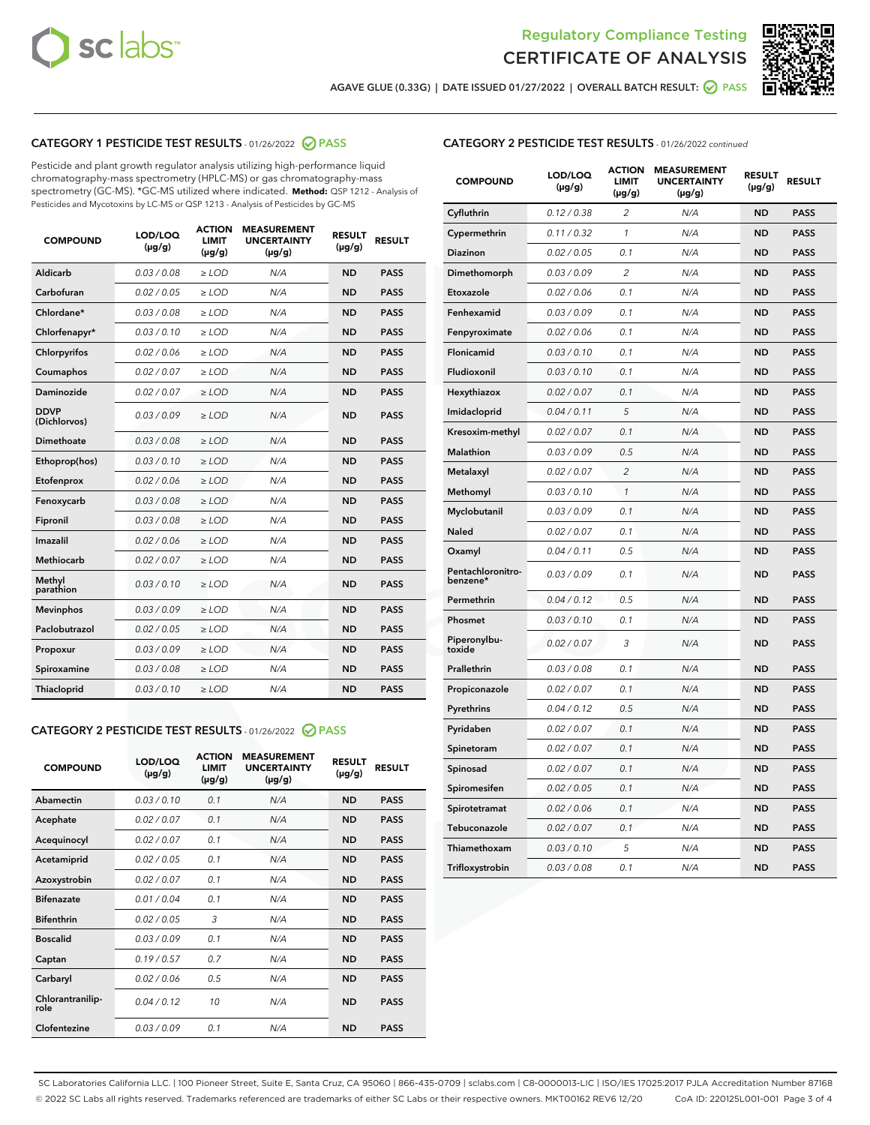



**AGAVE GLUE (0.33G) | DATE ISSUED 01/27/2022 | OVERALL BATCH RESULT: PASS**

# **CATEGORY 1 PESTICIDE TEST RESULTS** - 01/26/2022 **PASS**

Pesticide and plant growth regulator analysis utilizing high-performance liquid chromatography-mass spectrometry (HPLC-MS) or gas chromatography-mass spectrometry (GC-MS). \*GC-MS utilized where indicated. **Method:** QSP 1212 - Analysis of Pesticides and Mycotoxins by LC-MS or QSP 1213 - Analysis of Pesticides by GC-MS

| <b>COMPOUND</b>             | LOD/LOQ<br>$(\mu g/g)$ | <b>ACTION</b><br><b>LIMIT</b><br>$(\mu q/q)$ | <b>MEASUREMENT</b><br><b>UNCERTAINTY</b><br>$(\mu g/g)$ | <b>RESULT</b><br>$(\mu g/g)$ | <b>RESULT</b> |
|-----------------------------|------------------------|----------------------------------------------|---------------------------------------------------------|------------------------------|---------------|
| Aldicarb                    | 0.03 / 0.08            | $\ge$ LOD                                    | N/A                                                     | <b>ND</b>                    | <b>PASS</b>   |
| Carbofuran                  | 0.02 / 0.05            | $\ge$ LOD                                    | N/A                                                     | <b>ND</b>                    | <b>PASS</b>   |
| Chlordane*                  | 0.03 / 0.08            | $\ge$ LOD                                    | N/A                                                     | <b>ND</b>                    | <b>PASS</b>   |
| Chlorfenapyr*               | 0.03/0.10              | $\ge$ LOD                                    | N/A                                                     | <b>ND</b>                    | <b>PASS</b>   |
| Chlorpyrifos                | 0.02 / 0.06            | $\ge$ LOD                                    | N/A                                                     | <b>ND</b>                    | <b>PASS</b>   |
| Coumaphos                   | 0.02 / 0.07            | $\ge$ LOD                                    | N/A                                                     | <b>ND</b>                    | <b>PASS</b>   |
| Daminozide                  | 0.02 / 0.07            | $\ge$ LOD                                    | N/A                                                     | <b>ND</b>                    | <b>PASS</b>   |
| <b>DDVP</b><br>(Dichlorvos) | 0.03/0.09              | $\ge$ LOD                                    | N/A                                                     | <b>ND</b>                    | <b>PASS</b>   |
| Dimethoate                  | 0.03 / 0.08            | $\ge$ LOD                                    | N/A                                                     | <b>ND</b>                    | <b>PASS</b>   |
| Ethoprop(hos)               | 0.03/0.10              | $\ge$ LOD                                    | N/A                                                     | <b>ND</b>                    | <b>PASS</b>   |
| Etofenprox                  | 0.02/0.06              | $>$ LOD                                      | N/A                                                     | <b>ND</b>                    | <b>PASS</b>   |
| Fenoxycarb                  | 0.03 / 0.08            | $\ge$ LOD                                    | N/A                                                     | <b>ND</b>                    | <b>PASS</b>   |
| Fipronil                    | 0.03/0.08              | $>$ LOD                                      | N/A                                                     | <b>ND</b>                    | <b>PASS</b>   |
| Imazalil                    | 0.02 / 0.06            | $\ge$ LOD                                    | N/A                                                     | <b>ND</b>                    | <b>PASS</b>   |
| Methiocarb                  | 0.02 / 0.07            | $\ge$ LOD                                    | N/A                                                     | <b>ND</b>                    | <b>PASS</b>   |
| Methyl<br>parathion         | 0.03/0.10              | $>$ LOD                                      | N/A                                                     | <b>ND</b>                    | <b>PASS</b>   |
| <b>Mevinphos</b>            | 0.03/0.09              | $>$ LOD                                      | N/A                                                     | <b>ND</b>                    | <b>PASS</b>   |
| Paclobutrazol               | 0.02 / 0.05            | $>$ LOD                                      | N/A                                                     | <b>ND</b>                    | <b>PASS</b>   |
| Propoxur                    | 0.03/0.09              | $\ge$ LOD                                    | N/A                                                     | <b>ND</b>                    | <b>PASS</b>   |
| Spiroxamine                 | 0.03 / 0.08            | $\ge$ LOD                                    | N/A                                                     | <b>ND</b>                    | <b>PASS</b>   |
| Thiacloprid                 | 0.03/0.10              | $\ge$ LOD                                    | N/A                                                     | <b>ND</b>                    | <b>PASS</b>   |

#### **CATEGORY 2 PESTICIDE TEST RESULTS** - 01/26/2022 **PASS**

| <b>COMPOUND</b>          | LOD/LOO<br>$(\mu g/g)$ | <b>ACTION</b><br>LIMIT<br>$(\mu g/g)$ | <b>MEASUREMENT</b><br><b>UNCERTAINTY</b><br>$(\mu g/g)$ | <b>RESULT</b><br>$(\mu g/g)$ | <b>RESULT</b> |
|--------------------------|------------------------|---------------------------------------|---------------------------------------------------------|------------------------------|---------------|
| Abamectin                | 0.03/0.10              | 0.1                                   | N/A                                                     | <b>ND</b>                    | <b>PASS</b>   |
| Acephate                 | 0.02/0.07              | 0.1                                   | N/A                                                     | <b>ND</b>                    | <b>PASS</b>   |
| Acequinocyl              | 0.02/0.07              | 0.1                                   | N/A                                                     | <b>ND</b>                    | <b>PASS</b>   |
| Acetamiprid              | 0.02/0.05              | 0.1                                   | N/A                                                     | <b>ND</b>                    | <b>PASS</b>   |
| Azoxystrobin             | 0.02/0.07              | 0.1                                   | N/A                                                     | <b>ND</b>                    | <b>PASS</b>   |
| <b>Bifenazate</b>        | 0.01/0.04              | 0.1                                   | N/A                                                     | <b>ND</b>                    | <b>PASS</b>   |
| <b>Bifenthrin</b>        | 0.02/0.05              | 3                                     | N/A                                                     | <b>ND</b>                    | <b>PASS</b>   |
| <b>Boscalid</b>          | 0.03/0.09              | 0.1                                   | N/A                                                     | <b>ND</b>                    | <b>PASS</b>   |
| Captan                   | 0.19/0.57              | 0.7                                   | N/A                                                     | <b>ND</b>                    | <b>PASS</b>   |
| Carbaryl                 | 0.02/0.06              | 0.5                                   | N/A                                                     | <b>ND</b>                    | <b>PASS</b>   |
| Chlorantranilip-<br>role | 0.04/0.12              | 10                                    | N/A                                                     | <b>ND</b>                    | <b>PASS</b>   |
| Clofentezine             | 0.03/0.09              | 0.1                                   | N/A                                                     | <b>ND</b>                    | <b>PASS</b>   |

# **CATEGORY 2 PESTICIDE TEST RESULTS** - 01/26/2022 continued

| <b>COMPOUND</b>               | LOD/LOQ<br>(µg/g) | <b>ACTION</b><br>LIMIT<br>$(\mu g/g)$ | <b>MEASUREMENT</b><br><b>UNCERTAINTY</b><br>$(\mu g/g)$ | <b>RESULT</b><br>(µg/g) | <b>RESULT</b> |
|-------------------------------|-------------------|---------------------------------------|---------------------------------------------------------|-------------------------|---------------|
| Cyfluthrin                    | 0.12 / 0.38       | 2                                     | N/A                                                     | <b>ND</b>               | <b>PASS</b>   |
| Cypermethrin                  | 0.11 / 0.32       | 1                                     | N/A                                                     | ND                      | <b>PASS</b>   |
| Diazinon                      | 0.02 / 0.05       | 0.1                                   | N/A                                                     | ND                      | <b>PASS</b>   |
| Dimethomorph                  | 0.03 / 0.09       | $\overline{2}$                        | N/A                                                     | <b>ND</b>               | <b>PASS</b>   |
| Etoxazole                     | 0.02 / 0.06       | 0.1                                   | N/A                                                     | <b>ND</b>               | <b>PASS</b>   |
| Fenhexamid                    | 0.03 / 0.09       | 0.1                                   | N/A                                                     | ND                      | <b>PASS</b>   |
| Fenpyroximate                 | 0.02 / 0.06       | 0.1                                   | N/A                                                     | <b>ND</b>               | <b>PASS</b>   |
| Flonicamid                    | 0.03 / 0.10       | 0.1                                   | N/A                                                     | <b>ND</b>               | <b>PASS</b>   |
| Fludioxonil                   | 0.03 / 0.10       | 0.1                                   | N/A                                                     | <b>ND</b>               | <b>PASS</b>   |
| Hexythiazox                   | 0.02 / 0.07       | 0.1                                   | N/A                                                     | <b>ND</b>               | <b>PASS</b>   |
| Imidacloprid                  | 0.04 / 0.11       | 5                                     | N/A                                                     | <b>ND</b>               | <b>PASS</b>   |
| Kresoxim-methyl               | 0.02 / 0.07       | 0.1                                   | N/A                                                     | <b>ND</b>               | <b>PASS</b>   |
| Malathion                     | 0.03 / 0.09       | 0.5                                   | N/A                                                     | <b>ND</b>               | <b>PASS</b>   |
| Metalaxyl                     | 0.02 / 0.07       | $\overline{c}$                        | N/A                                                     | <b>ND</b>               | <b>PASS</b>   |
| Methomyl                      | 0.03 / 0.10       | $\mathbf{1}$                          | N/A                                                     | <b>ND</b>               | <b>PASS</b>   |
| Myclobutanil                  | 0.03 / 0.09       | 0.1                                   | N/A                                                     | <b>ND</b>               | <b>PASS</b>   |
| Naled                         | 0.02 / 0.07       | 0.1                                   | N/A                                                     | <b>ND</b>               | <b>PASS</b>   |
| Oxamyl                        | 0.04 / 0.11       | 0.5                                   | N/A                                                     | ND                      | <b>PASS</b>   |
| Pentachloronitro-<br>benzene* | 0.03 / 0.09       | 0.1                                   | N/A                                                     | <b>ND</b>               | <b>PASS</b>   |
| Permethrin                    | 0.04 / 0.12       | 0.5                                   | N/A                                                     | <b>ND</b>               | <b>PASS</b>   |
| Phosmet                       | 0.03 / 0.10       | 0.1                                   | N/A                                                     | <b>ND</b>               | <b>PASS</b>   |
| Piperonylbu-<br>toxide        | 0.02 / 0.07       | 3                                     | N/A                                                     | <b>ND</b>               | <b>PASS</b>   |
| Prallethrin                   | 0.03 / 0.08       | 0.1                                   | N/A                                                     | <b>ND</b>               | <b>PASS</b>   |
| Propiconazole                 | 0.02 / 0.07       | 0.1                                   | N/A                                                     | <b>ND</b>               | <b>PASS</b>   |
| Pyrethrins                    | 0.04 / 0.12       | 0.5                                   | N/A                                                     | ND                      | <b>PASS</b>   |
| Pyridaben                     | 0.02 / 0.07       | 0.1                                   | N/A                                                     | <b>ND</b>               | <b>PASS</b>   |
| Spinetoram                    | 0.02 / 0.07       | 0.1                                   | N/A                                                     | <b>ND</b>               | <b>PASS</b>   |
| Spinosad                      | 0.02 / 0.07       | 0.1                                   | N/A                                                     | <b>ND</b>               | PASS          |
| Spiromesifen                  | 0.02 / 0.05       | 0.1                                   | N/A                                                     | ND                      | <b>PASS</b>   |
| Spirotetramat                 | 0.02 / 0.06       | 0.1                                   | N/A                                                     | <b>ND</b>               | <b>PASS</b>   |
| Tebuconazole                  | 0.02 / 0.07       | 0.1                                   | N/A                                                     | ND                      | <b>PASS</b>   |
| Thiamethoxam                  | 0.03 / 0.10       | 5                                     | N/A                                                     | ND                      | <b>PASS</b>   |
| Trifloxystrobin               | 0.03 / 0.08       | 0.1                                   | N/A                                                     | <b>ND</b>               | <b>PASS</b>   |

SC Laboratories California LLC. | 100 Pioneer Street, Suite E, Santa Cruz, CA 95060 | 866-435-0709 | sclabs.com | C8-0000013-LIC | ISO/IES 17025:2017 PJLA Accreditation Number 87168 © 2022 SC Labs all rights reserved. Trademarks referenced are trademarks of either SC Labs or their respective owners. MKT00162 REV6 12/20 CoA ID: 220125L001-001 Page 3 of 4